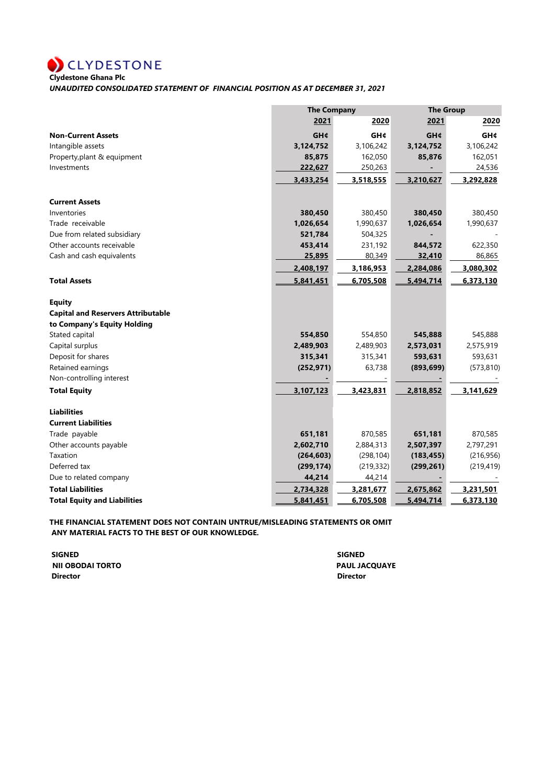**Clydestone Ghana Plc**

*UNAUDITED CONSOLIDATED STATEMENT OF FINANCIAL POSITION AS AT DECEMBER 31, 2021*

|                                           |            | <b>The Company</b> |            | <b>The Group</b> |  |
|-------------------------------------------|------------|--------------------|------------|------------------|--|
|                                           | 2021       | 2020               | 2021       | 2020             |  |
| <b>Non-Current Assets</b>                 | GH¢        | <b>GH¢</b>         | <b>GH¢</b> | <b>GH¢</b>       |  |
| Intangible assets                         | 3,124,752  | 3,106,242          | 3,124,752  | 3,106,242        |  |
| Property, plant & equipment               | 85,875     | 162,050            | 85,876     | 162,051          |  |
| Investments                               | 222,627    | 250,263            |            | 24,536           |  |
|                                           | 3,433,254  | 3,518,555          | 3,210,627  | 3,292,828        |  |
| <b>Current Assets</b>                     |            |                    |            |                  |  |
| Inventories                               | 380,450    | 380,450            | 380,450    | 380,450          |  |
| Trade receivable                          | 1,026,654  | 1,990,637          | 1,026,654  | 1,990,637        |  |
| Due from related subsidiary               | 521,784    | 504,325            |            |                  |  |
| Other accounts receivable                 | 453,414    | 231,192            | 844,572    | 622,350          |  |
| Cash and cash equivalents                 | 25,895     | 80,349             | 32,410     | 86,865           |  |
|                                           | 2,408,197  | 3,186,953          | 2,284,086  | 3,080,302        |  |
| <b>Total Assets</b>                       | 5,841,451  | 6,705,508          | 5,494,714  | 6,373,130        |  |
| <b>Equity</b>                             |            |                    |            |                  |  |
| <b>Capital and Reservers Attributable</b> |            |                    |            |                  |  |
| to Company's Equity Holding               |            |                    |            |                  |  |
| Stated capital                            | 554,850    | 554,850            | 545,888    | 545,888          |  |
| Capital surplus                           | 2,489,903  | 2,489,903          | 2,573,031  | 2,575,919        |  |
| Deposit for shares                        | 315,341    | 315,341            | 593,631    | 593,631          |  |
| Retained earnings                         | (252, 971) | 63,738             | (893, 699) | (573, 810)       |  |
| Non-controlling interest                  |            |                    |            |                  |  |
| <b>Total Equity</b>                       | 3,107,123  | 3,423,831          | 2,818,852  | 3,141,629        |  |
| <b>Liabilities</b>                        |            |                    |            |                  |  |
| <b>Current Liabilities</b>                |            |                    |            |                  |  |
| Trade payable                             | 651,181    | 870,585            | 651,181    | 870,585          |  |
| Other accounts payable                    | 2,602,710  | 2,884,313          | 2,507,397  | 2,797,291        |  |
| Taxation                                  | (264, 603) | (298, 104)         | (183, 455) | (216, 956)       |  |
| Deferred tax                              | (299, 174) | (219, 332)         | (299, 261) | (219, 419)       |  |
| Due to related company                    | 44,214     | 44,214             |            |                  |  |
| <b>Total Liabilities</b>                  | 2,734,328  | 3,281,677          | 2,675,862  | 3,231,501        |  |
| <b>Total Equity and Liabilities</b>       | 5,841,451  | 6,705,508          | 5,494,714  | 6,373,130        |  |

**THE FINANCIAL STATEMENT DOES NOT CONTAIN UNTRUE/MISLEADING STATEMENTS OR OMIT ANY MATERIAL FACTS TO THE BEST OF OUR KNOWLEDGE.**

 **SIGNED SIGNED NII OBODAI TORTO PAUL JACQUAYE Director Director**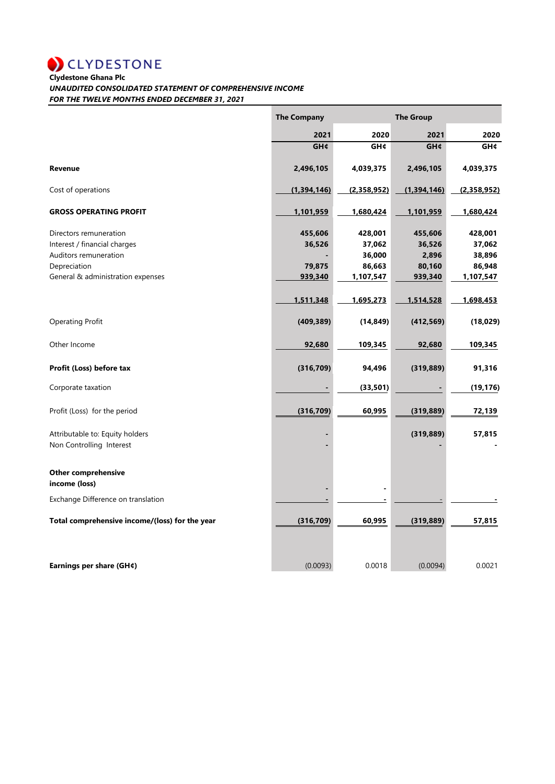**CLYDESTONE**<br>Clydestone Ghana Plc

## *UNAUDITED CONSOLIDATED STATEMENT OF COMPREHENSIVE INCOME*

*FOR THE TWELVE MONTHS ENDED DECEMBER 31, 2021*

|                                                | <b>The Company</b> |             | <b>The Group</b> |             |
|------------------------------------------------|--------------------|-------------|------------------|-------------|
|                                                | 2021               | 2020        | 2021             | 2020        |
|                                                | <b>GH¢</b>         | <b>GH¢</b>  | GH¢              | <b>GH¢</b>  |
| Revenue                                        | 2,496,105          | 4,039,375   | 2,496,105        | 4,039,375   |
| Cost of operations                             | (1,394,146)        | (2,358,952) | (1,394,146)      | (2,358,952) |
| <b>GROSS OPERATING PROFIT</b>                  | 1,101,959          | 1,680,424   | 1,101,959        | 1,680,424   |
| Directors remuneration                         | 455,606            | 428,001     | 455,606          | 428,001     |
| Interest / financial charges                   | 36,526             | 37,062      | 36,526           | 37,062      |
| Auditors remuneration                          |                    | 36,000      | 2,896            | 38,896      |
| Depreciation                                   | 79,875             | 86,663      | 80,160           | 86,948      |
| General & administration expenses              | 939,340            | 1,107,547   | 939,340          | 1,107,547   |
|                                                | 1,511,348          | 1,695,273   | 1,514,528        | 1,698,453   |
| <b>Operating Profit</b>                        | (409, 389)         | (14, 849)   | (412, 569)       | (18, 029)   |
| Other Income                                   | 92,680             | 109,345     | 92,680           | 109,345     |
| Profit (Loss) before tax                       | (316, 709)         | 94,496      | (319, 889)       | 91,316      |
| Corporate taxation                             |                    | (33, 501)   |                  | (19, 176)   |
| Profit (Loss) for the period                   | (316, 709)         | 60,995      | (319, 889)       | 72,139      |
| Attributable to: Equity holders                |                    |             | (319, 889)       | 57,815      |
| Non Controlling Interest                       |                    |             |                  |             |
| <b>Other comprehensive</b>                     |                    |             |                  |             |
| income (loss)                                  |                    |             |                  |             |
| Exchange Difference on translation             |                    |             |                  |             |
| Total comprehensive income/(loss) for the year | (316, 709)         | 60,995      | (319, 889)       | 57,815      |
| Earnings per share (GH¢)                       | (0.0093)           | 0.0018      | (0.0094)         | 0.0021      |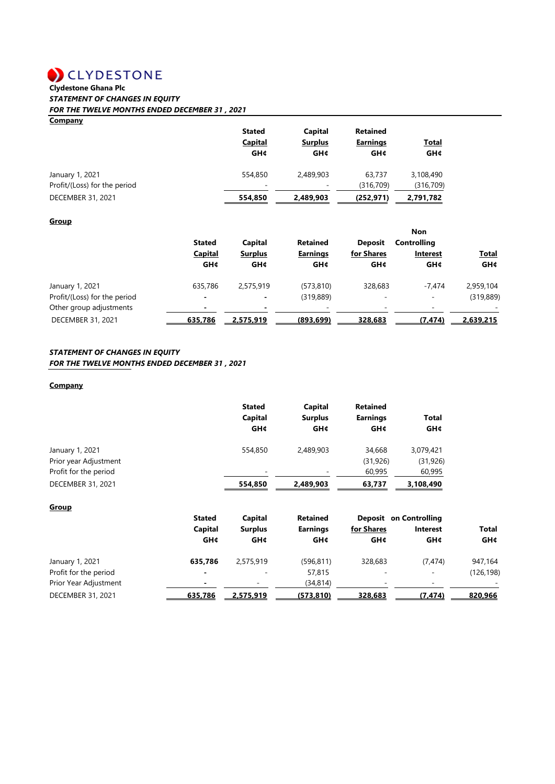# **CLYDESTONE**<br>Clydestone Ghana Plc

## *STATEMENT OF CHANGES IN EQUITY*

*FOR THE TWELVE MONTHS ENDED DECEMBER 31 , 2021*

### **Company**

|                                                 | <b>Stated</b><br><b>Capital</b><br><b>GH¢</b> | Capital<br><b>Surplus</b><br>GH¢      | <b>Retained</b><br><b>Earnings</b><br>GH¢ | <u>Total</u><br><b>GH¢</b> |
|-------------------------------------------------|-----------------------------------------------|---------------------------------------|-------------------------------------------|----------------------------|
| January 1, 2021<br>Profit/(Loss) for the period | 554,850                                       | 2.489.903<br>$\overline{\phantom{a}}$ | 63,737<br>(316, 709)                      | 3,108,490<br>(316, 709)    |
| DECEMBER 31, 2021                               | 554,850                                       | 2,489,903                             | (252, 971)                                | 2,791,782                  |

#### **Group**

|                              | <b>Stated</b><br><b>Capital</b> | Capital        | <b>Retained</b><br><b>Earnings</b> | <b>Deposit</b> | <b>Non</b><br><b>Controlling</b><br><b>Interest</b> | <b>Total</b> |
|------------------------------|---------------------------------|----------------|------------------------------------|----------------|-----------------------------------------------------|--------------|
|                              |                                 | <b>Surplus</b> |                                    | for Shares     |                                                     |              |
|                              | <b>GH¢</b>                      | <b>GH¢</b>     | GH¢                                | <b>GH¢</b>     | <b>GH¢</b>                                          | <b>GH¢</b>   |
| January 1, 2021              | 635,786                         | 2.575.919      | (573, 810)                         | 328,683        | $-7.474$                                            | 2,959,104    |
| Profit/(Loss) for the period |                                 | $\blacksquare$ | (319, 889)                         |                | ٠                                                   | (319, 889)   |
| Other group adjustments      |                                 |                |                                    |                | ۰                                                   |              |
| DECEMBER 31, 2021            | 635.786                         | 2.575.919      | (893.699)                          | 328.683        | (7.474)                                             | 2.639.215    |

#### *STATEMENT OF CHANGES IN EQUITY*

#### *FOR THE TWELVE MONTHS ENDED DECEMBER 31 , 2021*

#### **Company**

|                       | <b>Stated</b><br>Capital<br><b>GH¢</b> | Capital<br><b>Surplus</b><br>GH¢ | <b>Retained</b><br><b>Earnings</b><br><b>GH¢</b> | <b>Total</b><br><b>GH¢</b> |
|-----------------------|----------------------------------------|----------------------------------|--------------------------------------------------|----------------------------|
| January 1, 2021       | 554,850                                | 2,489,903                        | 34.668                                           | 3,079,421                  |
| Prior year Adjustment |                                        |                                  | (31, 926)                                        | (31, 926)                  |
| Profit for the period | $\overline{\phantom{a}}$               |                                  | 60,995                                           | 60,995                     |
| DECEMBER 31, 2021     | 554,850                                | 2,489,903                        | 63,737                                           | 3,108,490                  |

| <b>Group</b>          |                          |                |                 |            |                               |            |
|-----------------------|--------------------------|----------------|-----------------|------------|-------------------------------|------------|
|                       | <b>Stated</b>            | Capital        | <b>Retained</b> |            | <b>Deposit</b> on Controlling |            |
|                       | Capital                  | <b>Surplus</b> | <b>Earnings</b> | for Shares | <b>Interest</b>               | Total      |
|                       | <b>GH¢</b>               | GH¢            | <b>GH¢</b>      | <b>GH¢</b> | <b>GH¢</b>                    | <b>GH¢</b> |
| January 1, 2021       | 635.786                  | 2.575.919      | (596, 811)      | 328.683    | (7, 474)                      | 947,164    |
| Profit for the period | $\overline{\phantom{0}}$ |                | 57,815          | -          | ٠                             | (126, 198) |
| Prior Year Adjustment | -                        | ٠              | (34, 814)       | ۰          | -                             |            |
| DECEMBER 31, 2021     | 635,786                  | 2,575,919      | (573, 810)      | 328,683    | (7.474)                       | 820,966    |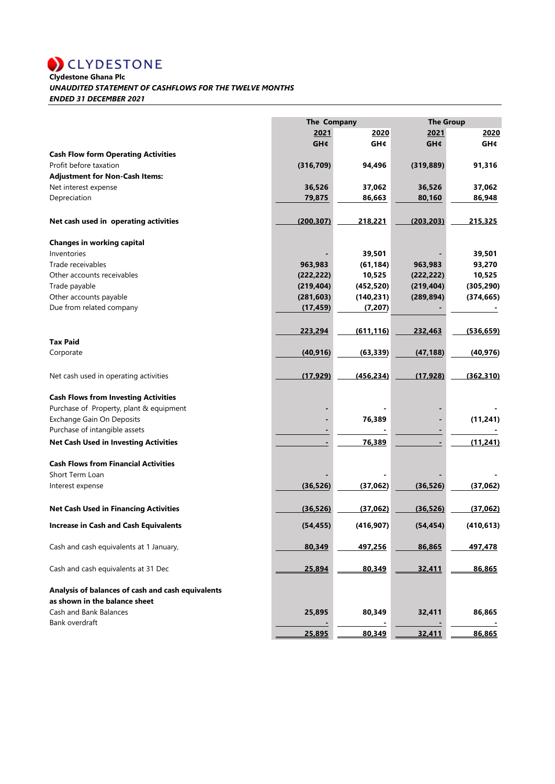**CLYDESTONE**<br>Clydestone Ghana Plc

#### *UNAUDITED STATEMENT OF CASHFLOWS FOR THE TWELVE MONTHS*

*ENDED 31 DECEMBER 2021*

|                                                   | The Company |            | <b>The Group</b> |            |
|---------------------------------------------------|-------------|------------|------------------|------------|
|                                                   | 2021        | 2020       | 2021             | 2020       |
|                                                   | <b>GH¢</b>  | GH¢        | <b>GH¢</b>       | <b>GH¢</b> |
| <b>Cash Flow form Operating Activities</b>        |             |            |                  |            |
| Profit before taxation                            | (316, 709)  | 94,496     | (319, 889)       | 91,316     |
| <b>Adjustment for Non-Cash Items:</b>             |             |            |                  |            |
| Net interest expense                              | 36,526      | 37,062     | 36,526           | 37,062     |
| Depreciation                                      | 79,875      | 86,663     | 80,160           | 86,948     |
| Net cash used in operating activities             | (200, 307)  | 218,221    | (203, 203)       | 215,325    |
| <b>Changes in working capital</b>                 |             |            |                  |            |
| Inventories                                       |             | 39,501     |                  | 39,501     |
| Trade receivables                                 | 963,983     | (61, 184)  | 963,983          | 93,270     |
| Other accounts receivables                        | (222, 222)  | 10,525     | (222, 222)       | 10,525     |
| Trade payable                                     | (219, 404)  | (452, 520) | (219, 404)       | (305, 290) |
| Other accounts payable                            | (281, 603)  | (140, 231) | (289, 894)       | (374, 665) |
| Due from related company                          | (17, 459)   | (7, 207)   |                  |            |
|                                                   |             |            |                  |            |
|                                                   | 223,294     | (611, 116) | 232,463          | (536, 659) |
| <b>Tax Paid</b>                                   |             |            |                  |            |
| Corporate                                         | (40, 916)   | (63, 339)  | (47, 188)        | (40, 976)  |
| Net cash used in operating activities             | (17, 929)   | (456, 234) | (17, 928)        | (362, 310) |
| <b>Cash Flows from Investing Activities</b>       |             |            |                  |            |
| Purchase of Property, plant & equipment           |             |            |                  |            |
| <b>Exchange Gain On Deposits</b>                  |             | 76,389     |                  | (11, 241)  |
| Purchase of intangible assets                     |             |            |                  |            |
| <b>Net Cash Used in Investing Activities</b>      |             | 76,389     |                  | (11, 241)  |
|                                                   |             |            |                  |            |
| <b>Cash Flows from Financial Activities</b>       |             |            |                  |            |
| Short Term Loan                                   |             |            |                  |            |
| Interest expense                                  | (36, 526)   | (37,062)   | (36, 526)        | (37,062)   |
| <b>Net Cash Used in Financing Activities</b>      | (36, 526)   | (37,062)   | (36, 526)        | (37,062)   |
| <b>Increase in Cash and Cash Equivalents</b>      | (54, 455)   | (416, 907) | (54, 454)        | (410, 613) |
| Cash and cash equivalents at 1 January,           | 80,349      | 497,256    | 86,865           | 497,478    |
|                                                   |             |            |                  |            |
| Cash and cash equivalents at 31 Dec               | 25,894      | 80,349     | 32,411           | 86,865     |
| Analysis of balances of cash and cash equivalents |             |            |                  |            |
| as shown in the balance sheet                     |             |            |                  |            |
| Cash and Bank Balances<br>Bank overdraft          | 25,895      | 80,349     | 32,411           | 86,865     |
|                                                   | 25,895      | 80,349     | 32,411           | 86,865     |